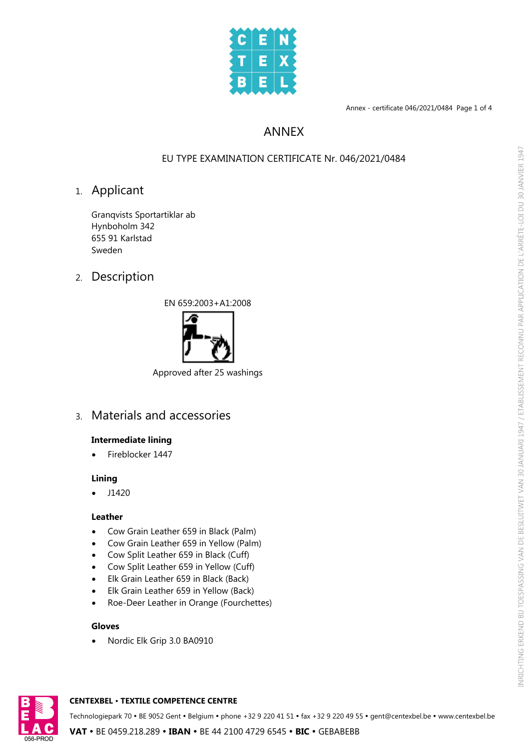

Annex - certificate 046/2021/0484 Page 1 of 4

# ANNEX

## EU TYPE EXAMINATION CERTIFICATE Nr. 046/2021/0484

# 1. Applicant

Granqvists Sportartiklar ab Hynboholm 342 655 91 Karlstad Sweden

2. Description





Approved after 25 washings

3. Materials and accessories

## **Intermediate lining**

· Fireblocker 1447

## **Lining**

 $\bullet$  J1420

## **Leather**

- · Cow Grain Leather 659 in Black (Palm)
- · Cow Grain Leather 659 in Yellow (Palm)
- · Cow Split Leather 659 in Black (Cuff)
- · Cow Split Leather 659 in Yellow (Cuff)
- · Elk Grain Leather 659 in Black (Back)
- · Elk Grain Leather 659 in Yellow (Back)
- · Roe-Deer Leather in Orange (Fourchettes)

### **Gloves**

Nordic Elk Grip 3.0 BA0910



#### **CENTEXBEL** Ÿ **TEXTILE COMPETENCE CENTRE**

Technologiepark 70 • BE 9052 Gent • Belgium • phone +32 9 220 41 51 • fax +32 9 220 49 55 • gent@centexbel.be • www.centexbel.be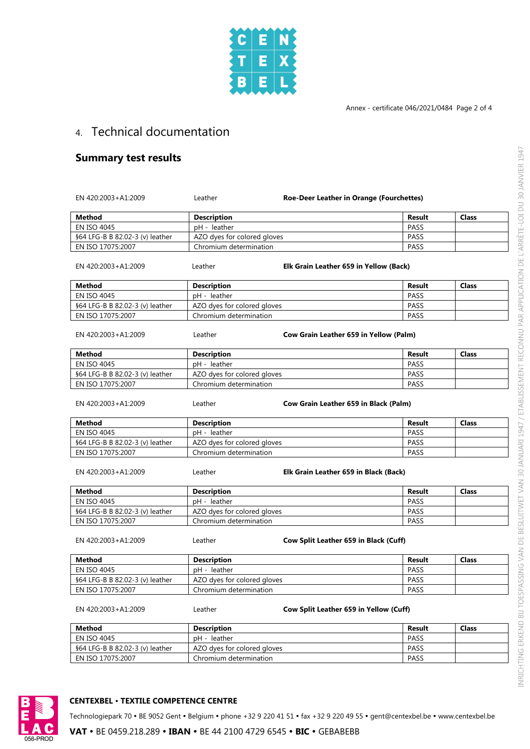

# 4. Technical documentation

## **Summary test results**

| EN 420:2003+A1:2009             | Leather                     | Roe-Deer Leather in Orange (Fourchettes) |        |              |
|---------------------------------|-----------------------------|------------------------------------------|--------|--------------|
| <b>Method</b>                   | <b>Description</b>          |                                          | Result | <b>Class</b> |
| <b>EN ISO 4045</b>              | pH - leather                |                                          | PASS   |              |
| §64 LFG-B B 82.02-3 (v) leather | AZO dyes for colored gloves |                                          | PASS   |              |
| EN ISO 17075:2007               | Chromium determination      |                                          | PASS   |              |
| EN 420:2003+A1:2009             | Leather                     | Elk Grain Leather 659 in Yellow (Back)   |        |              |
| Method                          | <b>Description</b>          |                                          | Result | Class        |
| <b>EN ISO 4045</b>              | pH - leather                |                                          | PASS   |              |
| §64 LFG-B B 82.02-3 (v) leather | AZO dyes for colored gloves |                                          | PASS   |              |
| EN ISO 17075:2007               | Chromium determination      |                                          | PASS   |              |
| EN 420:2003+A1:2009             | Leather                     | Cow Grain Leather 659 in Yellow (Palm)   |        |              |
| <b>Method</b>                   | <b>Description</b>          |                                          | Result | <b>Class</b> |
| EN ISO 4045                     | pH - leather                |                                          | PASS   |              |
| §64 LFG-B B 82.02-3 (v) leather | AZO dyes for colored gloves |                                          | PASS   |              |
| EN ISO 17075:2007               | Chromium determination      |                                          | PASS   |              |
| EN 420:2003+A1:2009             | Leather                     | Cow Grain Leather 659 in Black (Palm)    |        |              |
| <b>Method</b>                   | <b>Description</b>          |                                          | Result | Class        |
| <b>EN ISO 4045</b>              | pH - leather                |                                          | PASS   |              |
| §64 LFG-B B 82.02-3 (v) leather | AZO dyes for colored gloves |                                          | PASS   |              |
| EN ISO 17075:2007               | Chromium determination      |                                          | PASS   |              |
| EN 420:2003+A1:2009             | Leather                     | Elk Grain Leather 659 in Black (Back)    |        |              |
| <b>Method</b>                   | <b>Description</b>          |                                          | Result | <b>Class</b> |
| <b>EN ISO 4045</b>              | pH - leather                |                                          | PASS   |              |
| §64 LFG-B B 82.02-3 (v) leather | AZO dyes for colored gloves |                                          | PASS   |              |
| EN ISO 17075:2007               | Chromium determination      |                                          | PASS   |              |
| EN 420:2003+A1:2009             | Leather                     | Cow Split Leather 659 in Black (Cuff)    |        |              |
| <b>Method</b>                   | <b>Description</b>          |                                          | Result | <b>Class</b> |
| <b>EN ISO 4045</b>              | pH - leather                |                                          | PASS   |              |
| §64 LFG-B B 82.02-3 (v) leather | AZO dyes for colored gloves |                                          | PASS   |              |
| EN ISO 17075:2007               | Chromium determination      |                                          | PASS   |              |
| EN 420:2003+A1:2009             | Leather                     | Cow Split Leather 659 in Yellow (Cuff)   |        |              |
| Method                          | <b>Description</b>          |                                          | Result | <b>Class</b> |
| <b>EN ISO 4045</b>              | pH - leather                |                                          | PASS   |              |
| §64 LFG-B B 82.02-3 (v) leather | AZO dyes for colored gloves |                                          | PASS   |              |

## **CENTEXBEL** Ÿ **TEXTILE COMPETENCE CENTRE**

Technologiepark 70 • BE 9052 Gent • Belgium • phone +32 9 220 41 51 • fax +32 9 220 49 55 • gent@centexbel.be • www.centexbel.be

EN ISO 17075:2007 Chromium determination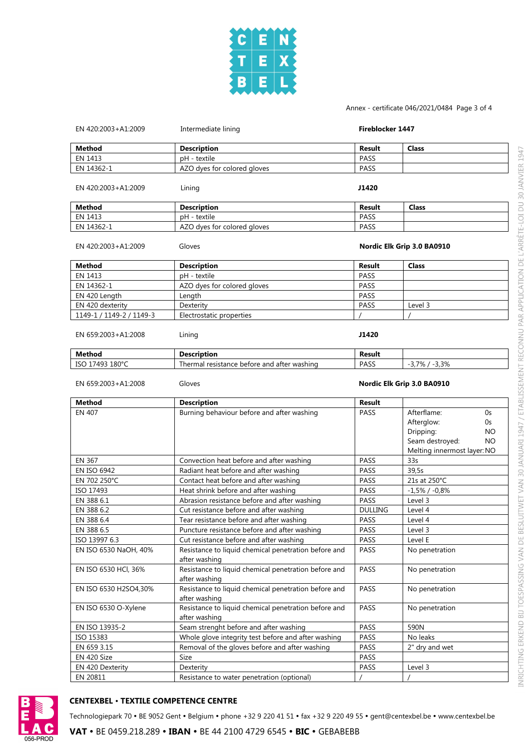

#### Annex - certificate 046/2021/0484 Page 3 of 4

| EN 420:2003+A1:2009      | Intermediate lining                                                   |                | Fireblocker 1447                                                                                                   |  |
|--------------------------|-----------------------------------------------------------------------|----------------|--------------------------------------------------------------------------------------------------------------------|--|
| <b>Method</b>            | <b>Description</b>                                                    | Result         | <b>Class</b>                                                                                                       |  |
| EN 1413                  | pH - textile                                                          | PASS           |                                                                                                                    |  |
| EN 14362-1               | AZO dyes for colored gloves                                           | PASS           |                                                                                                                    |  |
| EN 420:2003+A1:2009      | Lining                                                                | J1420          |                                                                                                                    |  |
| Method                   | <b>Description</b>                                                    | Result         | <b>Class</b>                                                                                                       |  |
| EN 1413                  | pH - textile                                                          | PASS           |                                                                                                                    |  |
| EN 14362-1               | AZO dyes for colored gloves                                           | PASS           |                                                                                                                    |  |
| EN 420:2003+A1:2009      | Gloves                                                                |                | Nordic Elk Grip 3.0 BA0910                                                                                         |  |
| Method                   | <b>Description</b>                                                    | <b>Result</b>  | <b>Class</b>                                                                                                       |  |
| EN 1413                  | pH - textile                                                          | PASS           |                                                                                                                    |  |
| EN 14362-1               | AZO dyes for colored gloves                                           | PASS           |                                                                                                                    |  |
| EN 420 Length            | Length                                                                | PASS           |                                                                                                                    |  |
| EN 420 dexterity         | Dexterity                                                             | PASS           | Level 3                                                                                                            |  |
| 1149-1 / 1149-2 / 1149-3 | Electrostatic properties                                              |                |                                                                                                                    |  |
| EN 659:2003+A1:2008      | Lining                                                                | J1420          |                                                                                                                    |  |
| Method                   | <b>Description</b>                                                    | Result         |                                                                                                                    |  |
| ISO 17493 180°C          | Thermal resistance before and after washing                           | <b>PASS</b>    | $-3,7\%$ / $-3,3\%$                                                                                                |  |
| EN 659:2003+A1:2008      | Gloves                                                                |                | Nordic Elk Grip 3.0 BA0910                                                                                         |  |
| Method                   | <b>Description</b>                                                    | Result         |                                                                                                                    |  |
| <b>EN 407</b>            | Burning behaviour before and after washing                            | PASS           | Afterflame:<br>0s<br>Afterglow:<br>0s<br>Dripping:<br>NO.<br>Seam destroyed:<br>NO.<br>Melting innermost layer: NO |  |
| EN 367                   | Convection heat before and after washing                              | PASS           | 33s                                                                                                                |  |
| <b>EN ISO 6942</b>       | Radiant heat before and after washing                                 | PASS           | 39,5s                                                                                                              |  |
| EN 702 250°C             | Contact heat before and after washing                                 | PASS           | 21s at 250°C                                                                                                       |  |
| ISO 17493                | Heat shrink before and after washing                                  | PASS           | $-1,5\%$ / $-0,8\%$                                                                                                |  |
| EN 388 6.1               | Abrasion resistance before and after washing                          | PASS           | Level 3                                                                                                            |  |
| EN 388 6.2               | Cut resistance before and after washing                               | <b>DULLING</b> | Level 4                                                                                                            |  |
| EN 388 6.4               | Tear resistance before and after washing                              | PASS           | Level 4                                                                                                            |  |
| EN 388 6.5               | Puncture resistance before and after washing                          | <b>PASS</b>    | Level 3                                                                                                            |  |
| ISO 13997 6.3            | Cut resistance before and after washing                               | PASS           | Level E                                                                                                            |  |
| EN ISO 6530 NaOH, 40%    | Resistance to liquid chemical penetration before and<br>after washing | PASS           | No penetration                                                                                                     |  |
| EN ISO 6530 HCl, 36%     | Resistance to liquid chemical penetration before and<br>after washing | PASS           | No penetration                                                                                                     |  |
| EN ISO 6530 H2SO4,30%    | Resistance to liquid chemical penetration before and<br>after washing | PASS           | No penetration                                                                                                     |  |
| EN ISO 6530 O-Xylene     | Resistance to liquid chemical penetration before and<br>after washing | PASS           | No penetration                                                                                                     |  |
| EN ISO 13935-2           | Seam strenght before and after washing                                | PASS           | 590N                                                                                                               |  |
| ISO 15383                | Whole glove integrity test before and after washing                   | PASS           | No leaks                                                                                                           |  |
| EN 659 3.15              | Removal of the gloves before and after washing                        | PASS           | 2" dry and wet                                                                                                     |  |
| EN 420 Size              | Size                                                                  | PASS           |                                                                                                                    |  |
| EN 420 Dexterity         | Dexterity                                                             | PASS           | Level 3                                                                                                            |  |
| EN 20811                 | Resistance to water penetration (optional)                            |                |                                                                                                                    |  |



## **CENTEXBEL** Ÿ **TEXTILE COMPETENCE CENTRE**

Technologiepark 70 • BE 9052 Gent • Belgium • phone +32 9 220 41 51 • fax +32 9 220 49 55 • gent@centexbel.be • www.centexbel.be